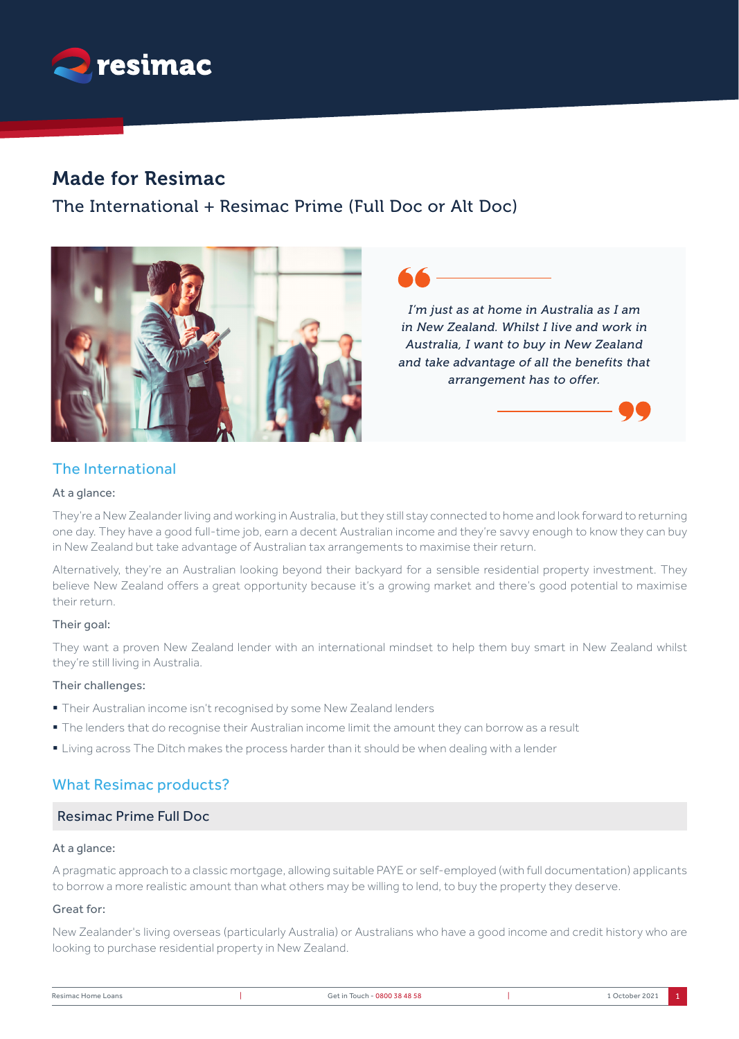

# Made for Resimac

The International + Resimac Prime (Full Doc or Alt Doc)



*I'm just as at home in Australia as I am in New Zealand. Whilst I live and work in Australia, I want to buy in New Zealand and take advantage of all the benefits that arrangement has to offer.*

## The International

#### At a glance:

They're a New Zealander living and working in Australia, but they still stay connected to home and look forward to returning one day. They have a good full-time job, earn a decent Australian income and they're savvy enough to know they can buy in New Zealand but take advantage of Australian tax arrangements to maximise their return.

Alternatively, they're an Australian looking beyond their backyard for a sensible residential property investment. They believe New Zealand offers a great opportunity because it's a growing market and there's good potential to maximise their return.

#### Their goal:

They want a proven New Zealand lender with an international mindset to help them buy smart in New Zealand whilst they're still living in Australia.

#### Their challenges:

- § Their Australian income isn't recognised by some New Zealand lenders
- § The lenders that do recognise their Australian income limit the amount they can borrow as a result
- **Example 2** Living across The Ditch makes the process harder than it should be when dealing with a lender

## What Resimac products?

### Resimac Prime Full Doc

#### At a glance:

A pragmatic approach to a classic mortgage, allowing suitable PAYE or self-employed (with full documentation) applicants to borrow a more realistic amount than what others may be willing to lend, to buy the property they deserve.

#### Great for:

New Zealander's living overseas (particularly Australia) or Australians who have a good income and credit history who are looking to purchase residential property in New Zealand.

| Resimac Home Loans | Get in Touch - 0800 38 48 58 | 1 October 2021 |  |
|--------------------|------------------------------|----------------|--|
|                    |                              |                |  |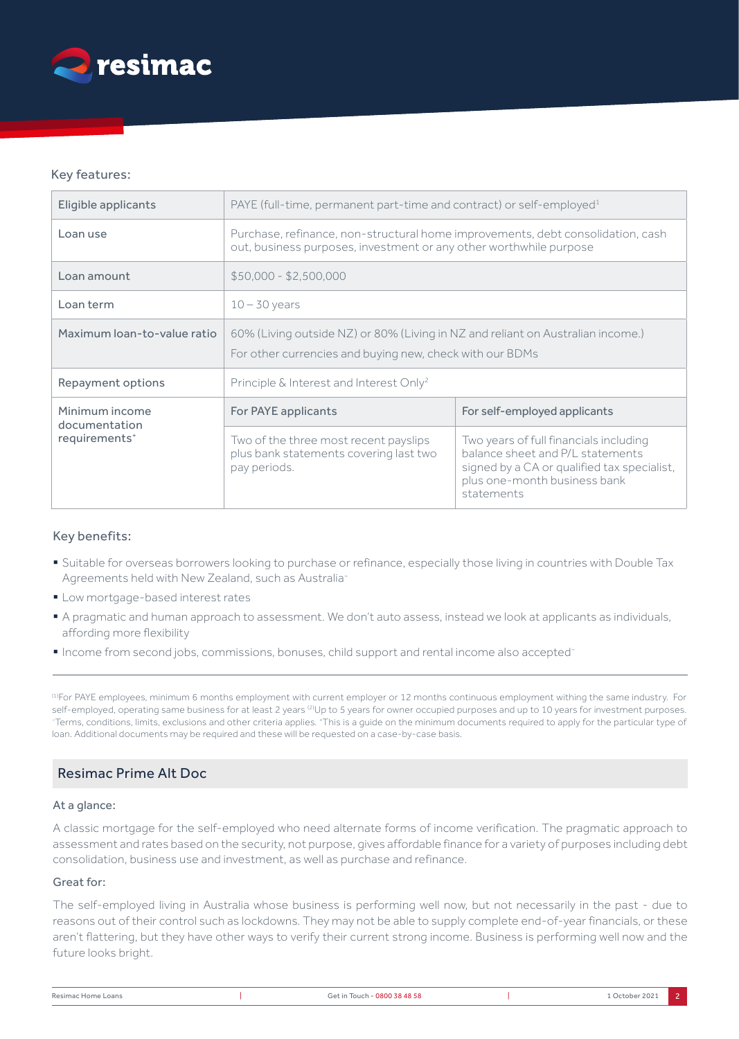

#### Key features:

| Eligible applicants                                          | PAYE (full-time, permanent part-time and contract) or self-employed <sup>1</sup>                                                                      |                                                                                                                                                                         |  |
|--------------------------------------------------------------|-------------------------------------------------------------------------------------------------------------------------------------------------------|-------------------------------------------------------------------------------------------------------------------------------------------------------------------------|--|
| Loan use                                                     | Purchase, refinance, non-structural home improvements, debt consolidation, cash<br>out, business purposes, investment or any other worthwhile purpose |                                                                                                                                                                         |  |
| Loan amount                                                  | $$50,000 - $2,500,000$                                                                                                                                |                                                                                                                                                                         |  |
| Loan term                                                    | $10 - 30$ years                                                                                                                                       |                                                                                                                                                                         |  |
| Maximum loan-to-value ratio                                  | 60% (Living outside NZ) or 80% (Living in NZ and reliant on Australian income.)<br>For other currencies and buying new, check with our BDMs           |                                                                                                                                                                         |  |
| Repayment options                                            | Principle & Interest and Interest Only <sup>2</sup>                                                                                                   |                                                                                                                                                                         |  |
| Minimum income<br>documentation<br>requirements <sup>+</sup> | For PAYE applicants                                                                                                                                   | For self-employed applicants                                                                                                                                            |  |
|                                                              | Two of the three most recent payslips<br>plus bank statements covering last two<br>pay periods.                                                       | Two years of full financials including<br>balance sheet and P/L statements<br>signed by a CA or qualified tax specialist,<br>plus one-month business bank<br>statements |  |

#### Key benefits:

- § Suitable for overseas borrowers looking to purchase or refinance, especially those living in countries with Double Tax Agreements held with New Zealand, such as Australia<sup>-</sup>
- Low mortgage-based interest rates
- § A pragmatic and human approach to assessment. We don't auto assess, instead we look at applicants as individuals, affording more flexibility
- § Income from second jobs, commissions, bonuses, child support and rental income also accepted~

(1)For PAYE employees, minimum 6 months employment with current employer or 12 months continuous employment withing the same industry. For self-employed, operating same business for at least 2 years <sup>(2)</sup>Up to 5 years for owner occupied purposes and up to 10 years for investment purposes. Terms, conditions, limits, exclusions and other criteria applies. \*This is a guide on the minimum documents required to apply for the particular type of loan. Additional documents may be required and these will be requested on a case-by-case basis.

### Resimac Prime Alt Doc

#### At a glance:

A classic mortgage for the self-employed who need alternate forms of income verification. The pragmatic approach to assessment and rates based on the security, not purpose, gives affordable finance for a variety of purposes including debt consolidation, business use and investment, as well as purchase and refinance.

#### Great for:

The self-employed living in Australia whose business is performing well now, but not necessarily in the past - due to reasons out of their control such as lockdowns. They may not be able to supply complete end-of-year financials, or these aren't flattering, but they have other ways to verify their current strong income. Business is performing well now and the future looks bright.

| Resimac Home Loans | Get in Touch - 0800 38 48 58 | $1$ October 2021 |
|--------------------|------------------------------|------------------|
|                    |                              |                  |